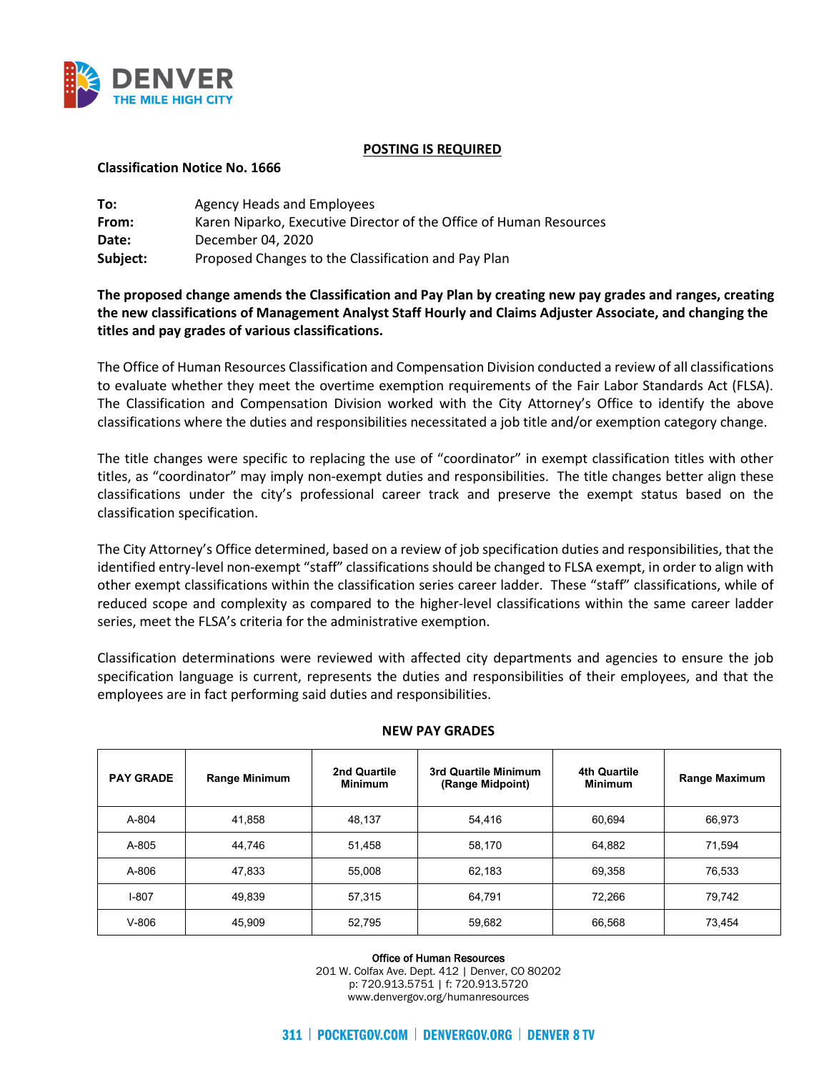

### **POSTING IS REQUIRED**

### **Classification Notice No. 1666**

| To:      | Agency Heads and Employees                                         |
|----------|--------------------------------------------------------------------|
| From:    | Karen Niparko, Executive Director of the Office of Human Resources |
| Date:    | December 04, 2020                                                  |
| Subject: | Proposed Changes to the Classification and Pay Plan                |

**The proposed change amends the Classification and Pay Plan by creating new pay grades and ranges, creating the new classifications of Management Analyst Staff Hourly and Claims Adjuster Associate, and changing the titles and pay grades of various classifications.**

The Office of Human Resources Classification and Compensation Division conducted a review of all classifications to evaluate whether they meet the overtime exemption requirements of the Fair Labor Standards Act (FLSA). The Classification and Compensation Division worked with the City Attorney's Office to identify the above classifications where the duties and responsibilities necessitated a job title and/or exemption category change.

The title changes were specific to replacing the use of "coordinator" in exempt classification titles with other titles, as "coordinator" may imply non-exempt duties and responsibilities. The title changes better align these classifications under the city's professional career track and preserve the exempt status based on the classification specification.

The City Attorney's Office determined, based on a review of job specification duties and responsibilities, that the identified entry-level non-exempt "staff" classifications should be changed to FLSA exempt, in order to align with other exempt classifications within the classification series career ladder. These "staff" classifications, while of reduced scope and complexity as compared to the higher-level classifications within the same career ladder series, meet the FLSA's criteria for the administrative exemption.

Classification determinations were reviewed with affected city departments and agencies to ensure the job specification language is current, represents the duties and responsibilities of their employees, and that the employees are in fact performing said duties and responsibilities.

| <b>PAY GRADE</b> | <b>Range Minimum</b> | 2nd Quartile<br><b>Minimum</b> | 3rd Quartile Minimum<br>(Range Midpoint) | 4th Quartile<br><b>Minimum</b> | <b>Range Maximum</b> |
|------------------|----------------------|--------------------------------|------------------------------------------|--------------------------------|----------------------|
| A-804            | 41,858               | 48.137                         | 54.416                                   | 60,694                         | 66.973               |
| A-805            | 44.746               | 51.458                         | 58,170                                   | 64,882                         | 71,594               |
| A-806            | 47,833               | 55.008                         | 62,183                                   | 69,358                         | 76,533               |
| $I-807$          | 49,839               | 57,315                         | 64.791                                   | 72,266                         | 79.742               |
| $V-806$          | 45,909               | 52.795                         | 59,682                                   | 66,568                         | 73,454               |

### **NEW PAY GRADES**

Office of Human Resources

201 W. Colfax Ave. Dept. 412 | Denver, CO 80202 p: 720.913.5751 | f: 720.913.5720 www.denvergov.org/humanresources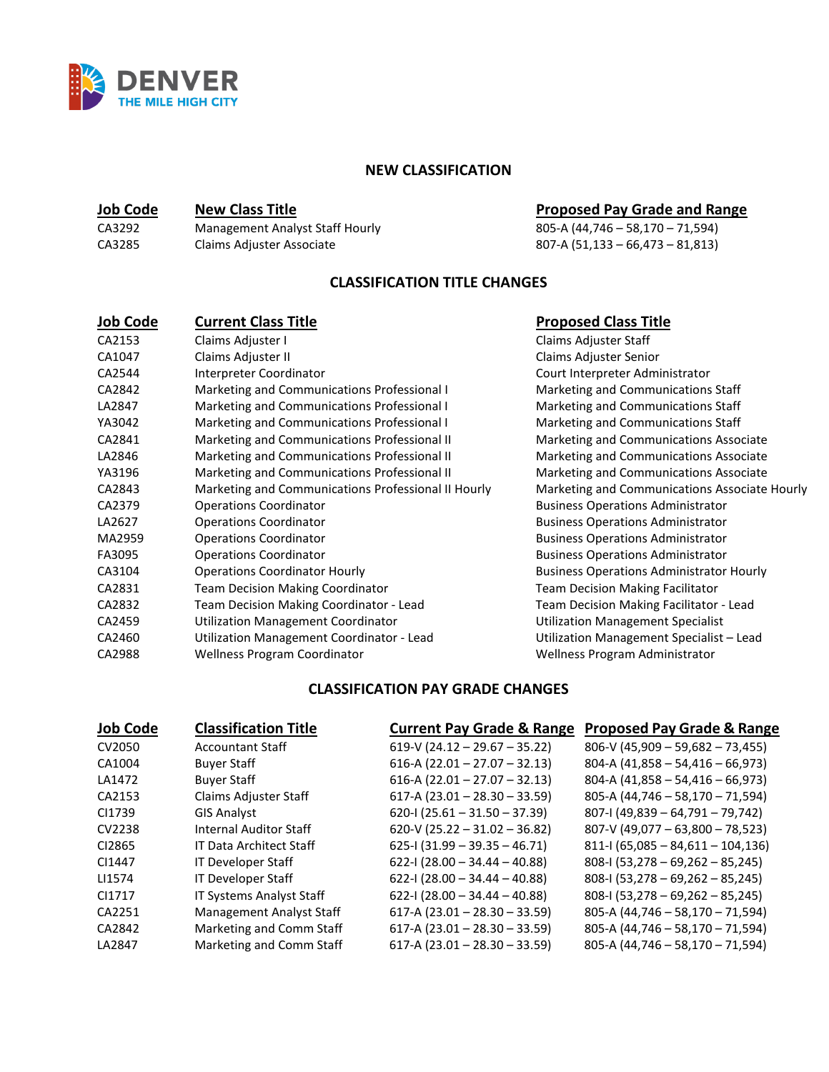

# **NEW CLASSIFICATION**

| CA3292 | Management Analyst Staff Hourly |
|--------|---------------------------------|
| CA3285 | Claims Adjuster Associate       |

# **<u>Job Code</u> <b>New Class Title New Class Title Proposed Pay Grade and Range**<br>CA3292 Management Analyst Staff Hourly **Proposed Pay Grade and Range**

 $\overline{805-A(44,746-58,170-71,594)}$  $807-A (51,133 - 66,473 - 81,813)$ 

# **CLASSIFICATION TITLE CHANGES**

| <b>Job Code</b> | <b>Current Class Title</b>                          | <b>Proposed Class Title</b>                     |
|-----------------|-----------------------------------------------------|-------------------------------------------------|
| CA2153          | Claims Adjuster I                                   | Claims Adjuster Staff                           |
| CA1047          | Claims Adjuster II                                  | Claims Adjuster Senior                          |
| CA2544          | Interpreter Coordinator                             | Court Interpreter Administrator                 |
| CA2842          | Marketing and Communications Professional I         | Marketing and Communications Staff              |
| LA2847          | Marketing and Communications Professional I         | Marketing and Communications Staff              |
| YA3042          | Marketing and Communications Professional I         | Marketing and Communications Staff              |
| CA2841          | Marketing and Communications Professional II        | Marketing and Communications Associate          |
| LA2846          | Marketing and Communications Professional II        | Marketing and Communications Associate          |
| YA3196          | Marketing and Communications Professional II        | Marketing and Communications Associate          |
| CA2843          | Marketing and Communications Professional II Hourly | Marketing and Communications Associate Hourly   |
| CA2379          | <b>Operations Coordinator</b>                       | <b>Business Operations Administrator</b>        |
| LA2627          | <b>Operations Coordinator</b>                       | <b>Business Operations Administrator</b>        |
| MA2959          | <b>Operations Coordinator</b>                       | <b>Business Operations Administrator</b>        |
| FA3095          | <b>Operations Coordinator</b>                       | <b>Business Operations Administrator</b>        |
| CA3104          | <b>Operations Coordinator Hourly</b>                | <b>Business Operations Administrator Hourly</b> |
| CA2831          | <b>Team Decision Making Coordinator</b>             | <b>Team Decision Making Facilitator</b>         |
| CA2832          | Team Decision Making Coordinator - Lead             | Team Decision Making Facilitator - Lead         |
| CA2459          | <b>Utilization Management Coordinator</b>           | <b>Utilization Management Specialist</b>        |
| CA2460          | Utilization Management Coordinator - Lead           | Utilization Management Specialist - Lead        |
| CA2988          | <b>Wellness Program Coordinator</b>                 | <b>Wellness Program Administrator</b>           |

# **CLASSIFICATION PAY GRADE CHANGES**

| <b>Job Code</b> | <b>Classification Title</b>     | <b>Current Pay Grade &amp; Range</b> | <b>Proposed Pay Grade &amp; Range</b> |
|-----------------|---------------------------------|--------------------------------------|---------------------------------------|
| CV2050          | <b>Accountant Staff</b>         | 619-V (24.12 - 29.67 - 35.22)        | $806-V (45,909 - 59,682 - 73,455)$    |
| CA1004          | <b>Buyer Staff</b>              | 616-A (22.01 - 27.07 - 32.13)        | 804-A $(41,858 - 54,416 - 66,973)$    |
| LA1472          | <b>Buyer Staff</b>              | 616-A (22.01 - 27.07 - 32.13)        | 804-A $(41,858 - 54,416 - 66,973)$    |
| CA2153          | Claims Adjuster Staff           | 617-A (23.01 - 28.30 - 33.59)        | 805-A (44,746 - 58,170 - 71,594)      |
| CI1739          | <b>GIS Analyst</b>              | $620-1(25.61-31.50-37.39)$           | $807 - 1$ (49,839 - 64,791 - 79,742)  |
| CV2238          | <b>Internal Auditor Staff</b>   | 620-V (25.22 - 31.02 - 36.82)        | $807-V (49,077 - 63,800 - 78,523)$    |
| CI2865          | <b>IT Data Architect Staff</b>  | $625 - 1(31.99 - 39.35 - 46.71)$     | $811$ -I (65,085 - 84,611 - 104,136)  |
| CI1447          | IT Developer Staff              | 622-I (28.00 - 34.44 - 40.88)        | $808-1$ (53,278 - 69,262 - 85,245)    |
| LI1574          | IT Developer Staff              | 622-1 (28.00 - 34.44 - 40.88)        | $808-1(53,278-69,262-85,245)$         |
| CI1717          | IT Systems Analyst Staff        | 622-I (28.00 - 34.44 - 40.88)        | $808-1(53,278-69,262-85,245)$         |
| CA2251          | <b>Management Analyst Staff</b> | 617-A (23.01 - 28.30 - 33.59)        | 805-A (44,746 - 58,170 - 71,594)      |
| CA2842          | Marketing and Comm Staff        | 617-A (23.01 - 28.30 - 33.59)        | 805-A (44,746 - 58,170 - 71,594)      |
| LA2847          | Marketing and Comm Staff        | $617-A (23.01 - 28.30 - 33.59)$      | 805-A $(44, 746 - 58, 170 - 71, 594)$ |